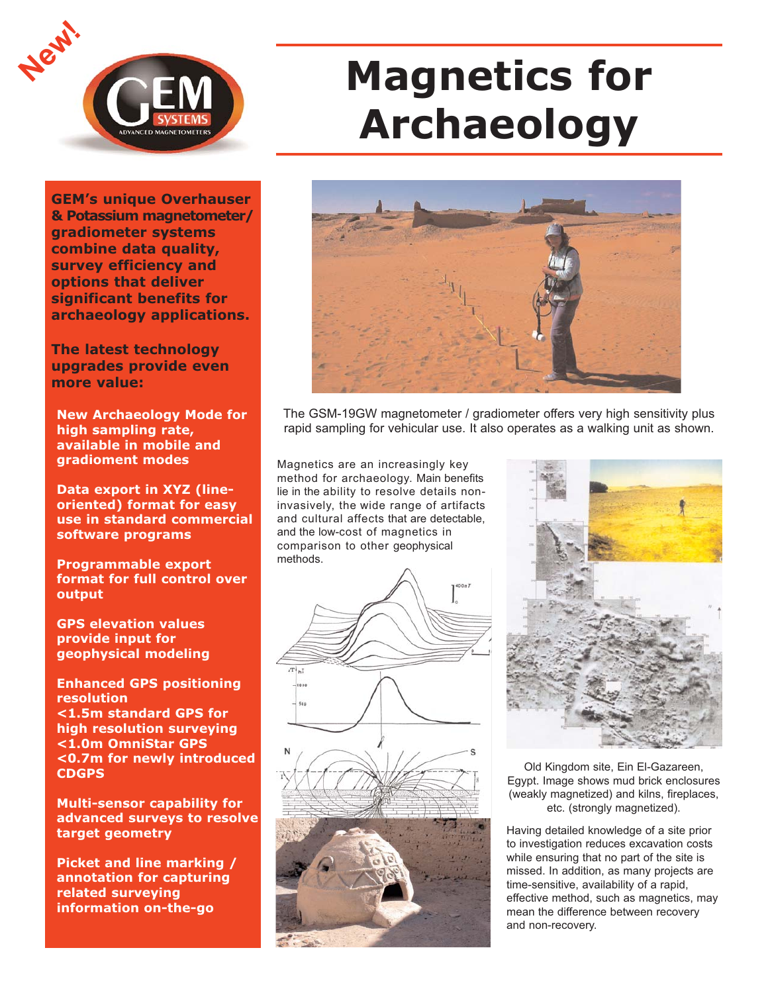

# **Magnetics for Archaeology**

**GEM's unique Overhauser & Potassium magnetometer/ gradiometer systems combine data quality, survey efficiency and options that deliver significant benefits for archaeology applications.**

**The latest technology upgrades provide even more value:**

**New Archaeology Mode for high sampling rate, available in mobile and gradioment modes**

**Data export in XYZ (lineoriented) format for easy use in standard commercial software programs**

**Programmable export format for full control over output**

**GPS elevation values provide input for geophysical modeling**

**Enhanced GPS positioning resolution <1.5m standard GPS for high resolution surveying <1.0m OmniStar GPS <0.7m for newly introduced CDGPS**

**Multi-sensor capability for advanced surveys to resolve target geometry**

**Picket and line marking / annotation for capturing related surveying information on-the-go**



The GSM-19GW magnetometer / gradiometer offers very high sensitivity plus rapid sampling for vehicular use. It also operates as a walking unit as shown.

Magnetics are an increasingly key method for archaeology. Main benefits lie in the ability to resolve details noninvasively, the wide range of artifacts and cultural affects that are detectable, and the low-cost of magnetics in comparison to other geophysical methods.





Old Kingdom site, Ein El-Gazareen, Egypt. Image shows mud brick enclosures (weakly magnetized) and kilns, fireplaces, etc. (strongly magnetized).

Having detailed knowledge of a site prior to investigation reduces excavation costs while ensuring that no part of the site is missed. In addition, as many projects are time-sensitive, availability of a rapid, effective method, such as magnetics, may mean the difference between recovery and non-recovery.